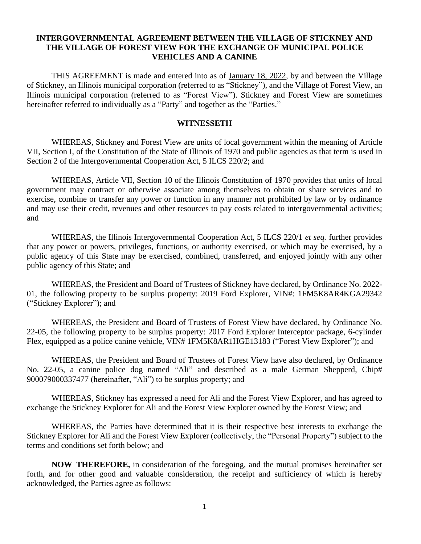## **INTERGOVERNMENTAL AGREEMENT BETWEEN THE VILLAGE OF STICKNEY AND THE VILLAGE OF FOREST VIEW FOR THE EXCHANGE OF MUNICIPAL POLICE VEHICLES AND A CANINE**

THIS AGREEMENT is made and entered into as of January 18, 2022, by and between the Village of Stickney, an Illinois municipal corporation (referred to as "Stickney"), and the Village of Forest View, an Illinois municipal corporation (referred to as "Forest View"). Stickney and Forest View are sometimes hereinafter referred to individually as a "Party" and together as the "Parties."

### **WITNESSETH**

WHEREAS, Stickney and Forest View are units of local government within the meaning of Article VII, Section I, of the Constitution of the State of Illinois of 1970 and public agencies as that term is used in Section 2 of the Intergovernmental Cooperation Act, 5 ILCS 220/2; and

WHEREAS, Article VII, Section 10 of the Illinois Constitution of 1970 provides that units of local government may contract or otherwise associate among themselves to obtain or share services and to exercise, combine or transfer any power or function in any manner not prohibited by law or by ordinance and may use their credit, revenues and other resources to pay costs related to intergovernmental activities; and

WHEREAS, the Illinois Intergovernmental Cooperation Act, 5 ILCS 220/1 *et seq.* further provides that any power or powers, privileges, functions, or authority exercised, or which may be exercised, by a public agency of this State may be exercised, combined, transferred, and enjoyed jointly with any other public agency of this State; and

WHEREAS, the President and Board of Trustees of Stickney have declared, by Ordinance No. 2022- 01, the following property to be surplus property: 2019 Ford Explorer, VIN#: 1FM5K8AR4KGA29342 ("Stickney Explorer"); and

WHEREAS, the President and Board of Trustees of Forest View have declared, by Ordinance No. 22-05, the following property to be surplus property: 2017 Ford Explorer Interceptor package, 6-cylinder Flex, equipped as a police canine vehicle, VIN# 1FM5K8AR1HGE13183 ("Forest View Explorer"); and

WHEREAS, the President and Board of Trustees of Forest View have also declared, by Ordinance No. 22-05, a canine police dog named "Ali" and described as a male German Shepperd, Chip# 900079000337477 (hereinafter, "Ali") to be surplus property; and

WHEREAS, Stickney has expressed a need for Ali and the Forest View Explorer, and has agreed to exchange the Stickney Explorer for Ali and the Forest View Explorer owned by the Forest View; and

WHEREAS, the Parties have determined that it is their respective best interests to exchange the Stickney Explorer for Ali and the Forest View Explorer (collectively, the "Personal Property") subject to the terms and conditions set forth below; and

**NOW THEREFORE,** in consideration of the foregoing, and the mutual promises hereinafter set forth, and for other good and valuable consideration, the receipt and sufficiency of which is hereby acknowledged, the Parties agree as follows: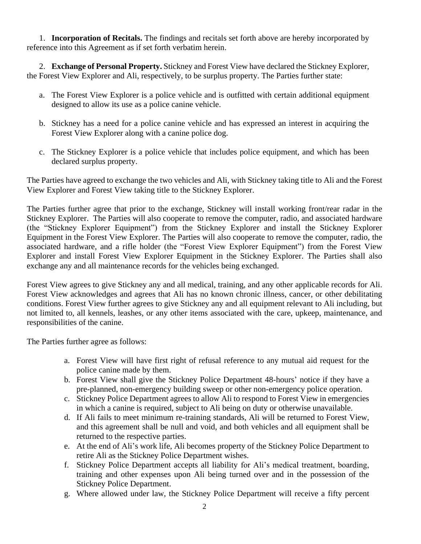1. **Incorporation of Recitals.** The findings and recitals set forth above are hereby incorporated by reference into this Agreement as if set forth verbatim herein.

2. **Exchange of Personal Property.** Stickney and Forest View have declared the Stickney Explorer, the Forest View Explorer and Ali, respectively, to be surplus property. The Parties further state:

- a. The Forest View Explorer is a police vehicle and is outfitted with certain additional equipment designed to allow its use as a police canine vehicle.
- b. Stickney has a need for a police canine vehicle and has expressed an interest in acquiring the Forest View Explorer along with a canine police dog.
- c. The Stickney Explorer is a police vehicle that includes police equipment, and which has been declared surplus property.

The Parties have agreed to exchange the two vehicles and Ali, with Stickney taking title to Ali and the Forest View Explorer and Forest View taking title to the Stickney Explorer.

The Parties further agree that prior to the exchange, Stickney will install working front/rear radar in the Stickney Explorer. The Parties will also cooperate to remove the computer, radio, and associated hardware (the "Stickney Explorer Equipment") from the Stickney Explorer and install the Stickney Explorer Equipment in the Forest View Explorer. The Parties will also cooperate to remove the computer, radio, the associated hardware, and a rifle holder (the "Forest View Explorer Equipment") from the Forest View Explorer and install Forest View Explorer Equipment in the Stickney Explorer. The Parties shall also exchange any and all maintenance records for the vehicles being exchanged.

Forest View agrees to give Stickney any and all medical, training, and any other applicable records for Ali. Forest View acknowledges and agrees that Ali has no known chronic illness, cancer, or other debilitating conditions. Forest View further agrees to give Stickney any and all equipment relevant to Ali including, but not limited to, all kennels, leashes, or any other items associated with the care, upkeep, maintenance, and responsibilities of the canine.

The Parties further agree as follows:

- a. Forest View will have first right of refusal reference to any mutual aid request for the police canine made by them.
- b. Forest View shall give the Stickney Police Department 48-hours' notice if they have a pre-planned, non-emergency building sweep or other non-emergency police operation.
- c. Stickney Police Department agrees to allow Ali to respond to Forest View in emergencies in which a canine is required, subject to Ali being on duty or otherwise unavailable.
- d. If Ali fails to meet minimum re-training standards, Ali will be returned to Forest View, and this agreement shall be null and void, and both vehicles and all equipment shall be returned to the respective parties.
- e. At the end of Ali's work life, Ali becomes property of the Stickney Police Department to retire Ali as the Stickney Police Department wishes.
- f. Stickney Police Department accepts all liability for Ali's medical treatment, boarding, training and other expenses upon Ali being turned over and in the possession of the Stickney Police Department.
- g. Where allowed under law, the Stickney Police Department will receive a fifty percent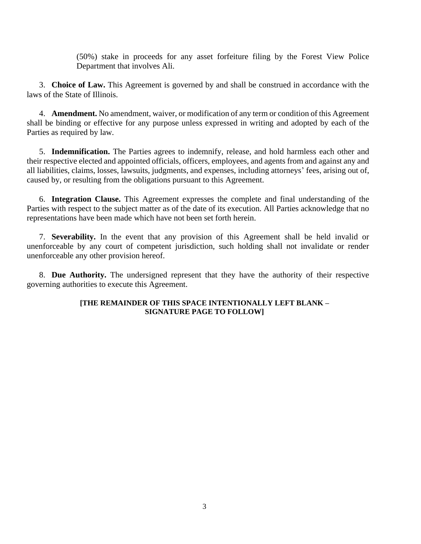(50%) stake in proceeds for any asset forfeiture filing by the Forest View Police Department that involves Ali.

3. **Choice of Law.** This Agreement is governed by and shall be construed in accordance with the laws of the State of Illinois.

4. **Amendment.** No amendment, waiver, or modification of any term or condition of this Agreement shall be binding or effective for any purpose unless expressed in writing and adopted by each of the Parties as required by law.

5. **Indemnification.** The Parties agrees to indemnify, release, and hold harmless each other and their respective elected and appointed officials, officers, employees, and agents from and against any and all liabilities, claims, losses, lawsuits, judgments, and expenses, including attorneys' fees, arising out of, caused by, or resulting from the obligations pursuant to this Agreement.

6. **Integration Clause.** This Agreement expresses the complete and final understanding of the Parties with respect to the subject matter as of the date of its execution. All Parties acknowledge that no representations have been made which have not been set forth herein.

7. **Severability.** In the event that any provision of this Agreement shall be held invalid or unenforceable by any court of competent jurisdiction, such holding shall not invalidate or render unenforceable any other provision hereof.

8. **Due Authority.** The undersigned represent that they have the authority of their respective governing authorities to execute this Agreement.

## **[THE REMAINDER OF THIS SPACE INTENTIONALLY LEFT BLANK – SIGNATURE PAGE TO FOLLOW]**